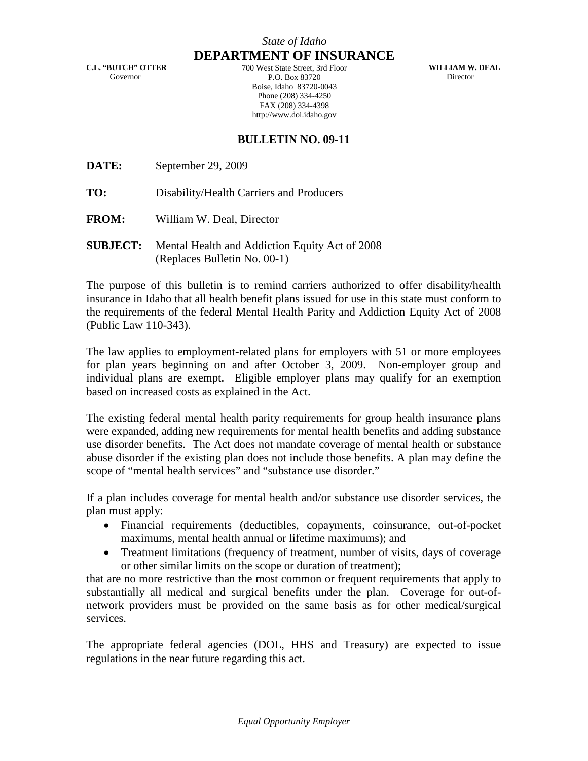**C.L. "BUTCH" OTTER** Governor

**DEPARTMENT OF INSURANCE** 700 West State Street, 3rd Floor P.O. Box 83720 Boise, Idaho 83720-0043 Phone (208) 334-4250 FAX (208) 334-4398 http://www.doi.idaho.gov

**WILLIAM W. DEAL** Director

## **BULLETIN NO. 09-11**

**DATE:** September 29, 2009

**TO:** Disability/Health Carriers and Producers

- **FROM:** William W. Deal, Director
- **SUBJECT:** Mental Health and Addiction Equity Act of 2008 (Replaces Bulletin No. 00-1)

The purpose of this bulletin is to remind carriers authorized to offer disability/health insurance in Idaho that all health benefit plans issued for use in this state must conform to the requirements of the federal Mental Health Parity and Addiction Equity Act of 2008 (Public Law 110-343).

The law applies to employment-related plans for employers with 51 or more employees for plan years beginning on and after October 3, 2009. Non-employer group and individual plans are exempt. Eligible employer plans may qualify for an exemption based on increased costs as explained in the Act.

The existing federal mental health parity requirements for group health insurance plans were expanded, adding new requirements for mental health benefits and adding substance use disorder benefits. The Act does not mandate coverage of mental health or substance abuse disorder if the existing plan does not include those benefits. A plan may define the scope of "mental health services" and "substance use disorder."

If a plan includes coverage for mental health and/or substance use disorder services, the plan must apply:

- Financial requirements (deductibles, copayments, coinsurance, out-of-pocket maximums, mental health annual or lifetime maximums); and
- Treatment limitations (frequency of treatment, number of visits, days of coverage or other similar limits on the scope or duration of treatment);

that are no more restrictive than the most common or frequent requirements that apply to substantially all medical and surgical benefits under the plan. Coverage for out-ofnetwork providers must be provided on the same basis as for other medical/surgical services.

The appropriate federal agencies (DOL, HHS and Treasury) are expected to issue regulations in the near future regarding this act.